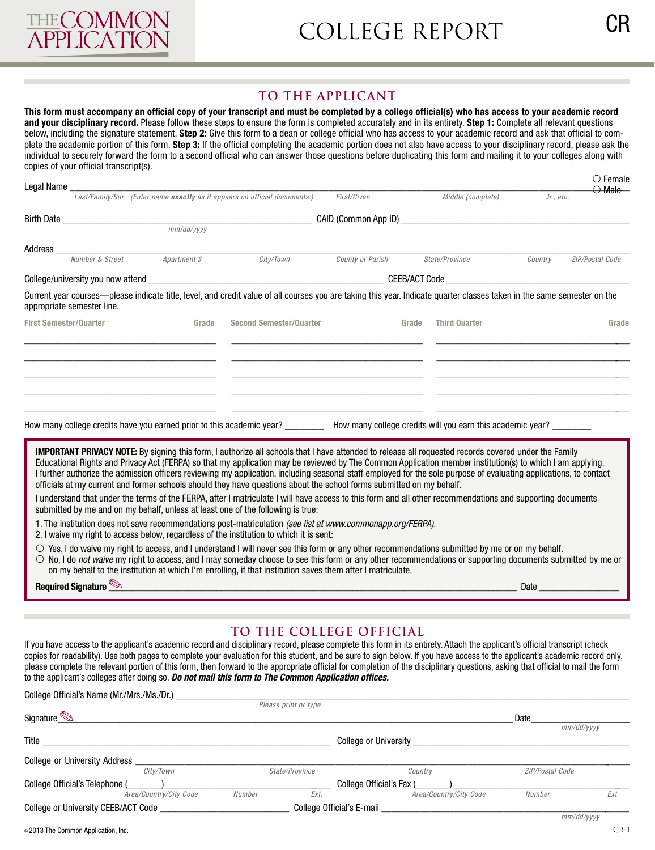

## **TO THE APPLICANT**

This form must accompany an official copy of your transcript and must be completed by a college official(s) who has access to your academic record **and your disciplinary record.** Please follow these steps to ensure the form is completed accurately and in its entirety. **Step 1:** Complete all relevant questions below, including the signature statement. Step 2: Give this form to a dean or college official who has access to your academic record and ask that official to complete the academic portion of this form. Step 3: If the official completing the academic portion does not also have access to your disciplinary record, please ask the individual to securely forward the form to a second offcial who can answer those questions before duplicating this form and mailing it to your colleges along with copies of your official transcript(s).

|                               | Legal Name ___________________ |                    |                                                                                                                                                                                                                                                                                                                                                                                                                                                 |                  |       |                      |           | $\circ$ Female<br>$\bigcirc$ Male |
|-------------------------------|--------------------------------|--------------------|-------------------------------------------------------------------------------------------------------------------------------------------------------------------------------------------------------------------------------------------------------------------------------------------------------------------------------------------------------------------------------------------------------------------------------------------------|------------------|-------|----------------------|-----------|-----------------------------------|
|                               |                                |                    | Last/Family/Sur (Enter name exactly as it appears on official documents.)                                                                                                                                                                                                                                                                                                                                                                       | First/Given      |       | Middle (complete)    | Jr., etc. |                                   |
|                               |                                |                    |                                                                                                                                                                                                                                                                                                                                                                                                                                                 |                  |       |                      |           |                                   |
|                               |                                |                    |                                                                                                                                                                                                                                                                                                                                                                                                                                                 |                  |       |                      |           |                                   |
| Address_                      | <b>Number &amp; Street</b>     |                    |                                                                                                                                                                                                                                                                                                                                                                                                                                                 |                  |       |                      |           |                                   |
|                               |                                | <i>Apartment #</i> | City/Town                                                                                                                                                                                                                                                                                                                                                                                                                                       | County or Parish |       | State/Province       | Country   | ZIP/Postal Code                   |
|                               |                                |                    |                                                                                                                                                                                                                                                                                                                                                                                                                                                 |                  |       |                      |           |                                   |
|                               | appropriate semester line.     |                    | Current year courses—please indicate title, level, and credit value of all courses you are taking this year. Indicate quarter classes taken in the same semester on the                                                                                                                                                                                                                                                                         |                  |       |                      |           |                                   |
| <b>First Semester/Quarter</b> |                                | Grade              | <b>Second Semester/Quarter</b>                                                                                                                                                                                                                                                                                                                                                                                                                  |                  | Grade | <b>Third Quarter</b> |           | Grade                             |
|                               |                                |                    |                                                                                                                                                                                                                                                                                                                                                                                                                                                 |                  |       |                      |           |                                   |
|                               |                                |                    |                                                                                                                                                                                                                                                                                                                                                                                                                                                 |                  |       |                      |           |                                   |
|                               |                                |                    |                                                                                                                                                                                                                                                                                                                                                                                                                                                 |                  |       |                      |           |                                   |
|                               |                                |                    |                                                                                                                                                                                                                                                                                                                                                                                                                                                 |                  |       |                      |           |                                   |
|                               |                                |                    |                                                                                                                                                                                                                                                                                                                                                                                                                                                 |                  |       |                      |           |                                   |
|                               |                                |                    | How many college credits have you earned prior to this academic year? _________ How many college credits will you earn this academic year? ________                                                                                                                                                                                                                                                                                             |                  |       |                      |           |                                   |
|                               |                                |                    |                                                                                                                                                                                                                                                                                                                                                                                                                                                 |                  |       |                      |           |                                   |
|                               |                                |                    | <b>IMPORTANT PRIVACY NOTE:</b> By signing this form, I authorize all schools that I have attended to release all requested records covered under the Family                                                                                                                                                                                                                                                                                     |                  |       |                      |           |                                   |
|                               |                                |                    | Educational Rights and Privacy Act (FERPA) so that my application may be reviewed by The Common Application member institution(s) to which I am applying.<br>I further authorize the admission officers reviewing my application, including seasonal staff employed for the sole purpose of evaluating applications, to contact                                                                                                                 |                  |       |                      |           |                                   |
|                               |                                |                    | officials at my current and former schools should they have questions about the school forms submitted on my behalf.                                                                                                                                                                                                                                                                                                                            |                  |       |                      |           |                                   |
|                               |                                |                    | I understand that under the terms of the FERPA, after I matriculate I will have access to this form and all other recommendations and supporting documents<br>submitted by me and on my behalf, unless at least one of the following is true:                                                                                                                                                                                                   |                  |       |                      |           |                                   |
|                               |                                |                    | 1. The institution does not save recommendations post-matriculation (see list at www.commonapp.org/FERPA).<br>2. I waive my right to access below, regardless of the institution to which it is sent:                                                                                                                                                                                                                                           |                  |       |                      |           |                                   |
|                               |                                |                    | $\circ$ Yes, I do waive my right to access, and I understand I will never see this form or any other recommendations submitted by me or on my behalf.<br>$\circ$ No, I do <i>not waive</i> my right to access, and I may someday choose to see this form or any other recommendations or supporting documents submitted by me or<br>on my behalf to the institution at which I'm enrolling, if that institution saves them after I matriculate. |                  |       |                      |           |                                   |
|                               | Required Signature             |                    |                                                                                                                                                                                                                                                                                                                                                                                                                                                 |                  |       |                      | Date      |                                   |

## **TO THE COLLEGE OFFICIAL**

If you have access to the applicant's academic record and disciplinary record, please complete this form in its entirety. Attach the applicant's offcial transcript (check copies for readability). Use both pages to complete your evaluation for this student, and be sure to sign below. If you have access to the applicant's academic record only, please complete the relevant portion of this form, then forward to the appropriate official for completion of the disciplinary questions, asking that official to mail the form to the applicant's colleges after doing so. *Do not mail this form to The Common Application offces.* 

| College Official's Name (Mr./Mrs./Ms./Dr.) |                        |                           |                      |                              |                        |            |
|--------------------------------------------|------------------------|---------------------------|----------------------|------------------------------|------------------------|------------|
|                                            |                        |                           | Please print or type |                              |                        |            |
| Signature                                  |                        |                           |                      |                              | Date                   |            |
|                                            |                        |                           |                      |                              |                        | mm/dd/yyyy |
| Title                                      |                        |                           |                      | <b>College or University</b> |                        |            |
| <b>College or University Address</b>       |                        |                           |                      |                              |                        |            |
|                                            | City/Town              |                           | State/Province       | Country                      | <b>ZIP/Postal Code</b> |            |
| College Official's Telephone (             |                        |                           |                      | College Official's Fax (     |                        |            |
|                                            | Area/Country/City Code | Number                    | Ext.                 | Area/Country/City Code       | Number                 | Ext.       |
| College or University CEEB/ACT Code        |                        | College Official's E-mail |                      |                              |                        |            |
|                                            |                        |                           |                      |                              |                        | mm/dd/yyyy |